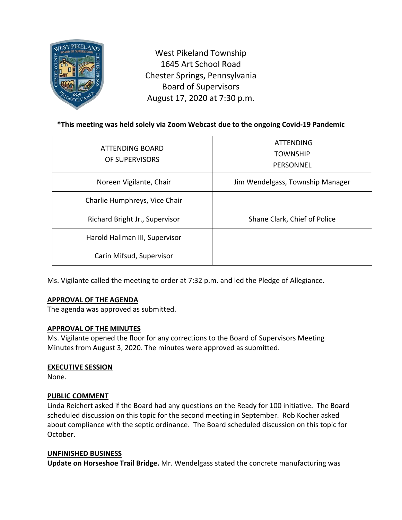

West Pikeland Township 1645 Art School Road Chester Springs, Pennsylvania Board of Supervisors August 17, 2020 at 7:30 p.m.

# **\*This meeting was held solely via Zoom Webcast due to the ongoing Covid-19 Pandemic**

| ATTENDING BOARD<br>OF SUPERVISORS | <b>ATTENDING</b><br><b>TOWNSHIP</b><br>PERSONNEL |
|-----------------------------------|--------------------------------------------------|
| Noreen Vigilante, Chair           | Jim Wendelgass, Township Manager                 |
| Charlie Humphreys, Vice Chair     |                                                  |
| Richard Bright Jr., Supervisor    | Shane Clark, Chief of Police                     |
| Harold Hallman III, Supervisor    |                                                  |
| Carin Mifsud, Supervisor          |                                                  |

Ms. Vigilante called the meeting to order at 7:32 p.m. and led the Pledge of Allegiance.

## **APPROVAL OF THE AGENDA**

The agenda was approved as submitted.

## **APPROVAL OF THE MINUTES**

Ms. Vigilante opened the floor for any corrections to the Board of Supervisors Meeting Minutes from August 3, 2020. The minutes were approved as submitted.

#### **EXECUTIVE SESSION**

None.

## **PUBLIC COMMENT**

Linda Reichert asked if the Board had any questions on the Ready for 100 initiative. The Board scheduled discussion on this topic for the second meeting in September. Rob Kocher asked about compliance with the septic ordinance. The Board scheduled discussion on this topic for October.

## **UNFINISHED BUSINESS**

**Update on Horseshoe Trail Bridge.** Mr. Wendelgass stated the concrete manufacturing was